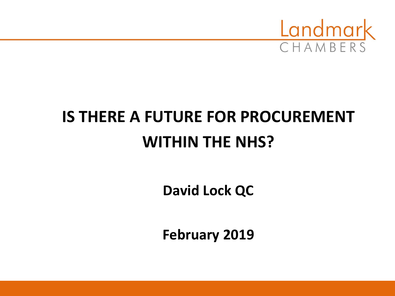

# **IS THERE A FUTURE FOR PROCUREMENT WITHIN THE NHS?**

**David Lock QC**

**February 2019**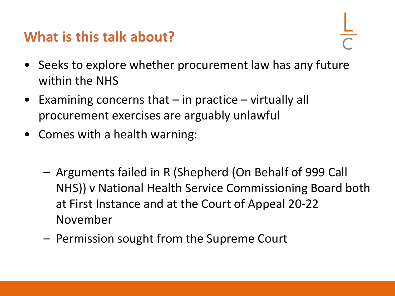#### **What is this talk about?**

- 
- Seeks to explore whether procurement law has any future within the NHS
- Examining concerns that in practice virtually all procurement exercises are arguably unlawful
- Comes with a health warning:
	- Arguments failed in R (Shepherd (On Behalf of 999 Call NHS)) v National Health Service Commissioning Board both at First Instance and at the Court of Appeal 20-22 November
	- Permission sought from the Supreme Court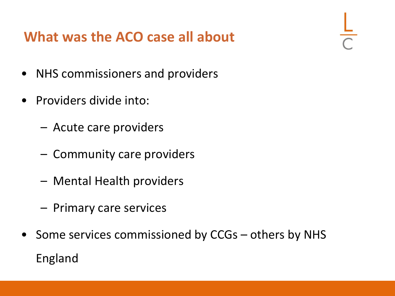#### **What was the ACO case all about**

- NHS commissioners and providers
- Providers divide into:
	- Acute care providers
	- Community care providers
	- Mental Health providers
	- Primary care services
- Some services commissioned by CCGs others by NHS England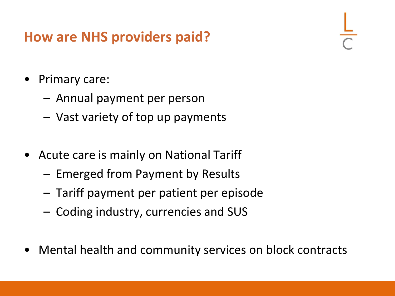#### **How are NHS providers paid?**

- Primary care:
	- Annual payment per person
	- Vast variety of top up payments
- Acute care is mainly on National Tariff
	- Emerged from Payment by Results
	- Tariff payment per patient per episode
	- Coding industry, currencies and SUS
- Mental health and community services on block contracts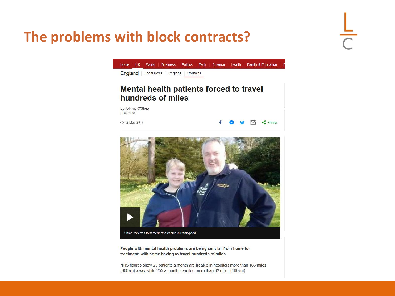#### **The problems with block contracts?**





People with mental health problems are being sent far from home for treatment, with some having to travel hundreds of miles.

NHS figures show 25 patients a month are treated in hospitals more than 186 miles (300km) away while 255 a month travelled more than 62 miles (100km).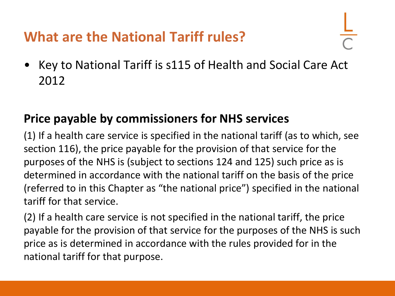#### **What are the National Tariff rules?**

• Key to National Tariff is s115 of Health and Social Care Act 2012

#### **Price payable by commissioners for NHS services**

(1) If a health care service is specified in the national tariff (as to which, see section 116), the price payable for the provision of that service for the purposes of the NHS is (subject to sections 124 and 125) such price as is determined in accordance with the national tariff on the basis of the price (referred to in this Chapter as "the national price") specified in the national tariff for that service.

(2) If a health care service is not specified in the national tariff, the price payable for the provision of that service for the purposes of the NHS is such price as is determined in accordance with the rules provided for in the national tariff for that purpose.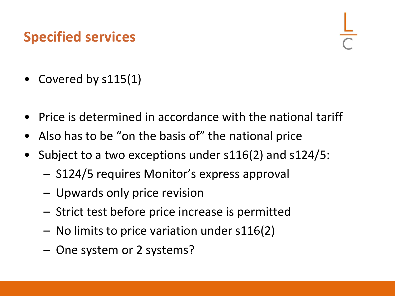#### **Specified services**

- Covered by s115(1)
- Price is determined in accordance with the national tariff
- Also has to be "on the basis of" the national price
- Subject to a two exceptions under s116(2) and s124/5:
	- S124/5 requires Monitor's express approval
	- Upwards only price revision
	- Strict test before price increase is permitted
	- No limits to price variation under s116(2)
	- One system or 2 systems?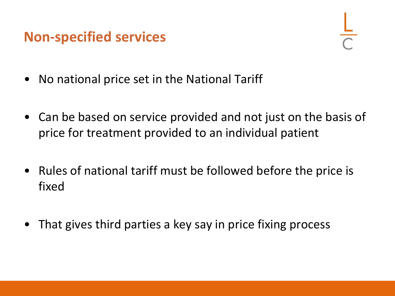#### **Non-specified services**

- No national price set in the National Tariff
- Can be based on service provided and not just on the basis of price for treatment provided to an individual patient
- Rules of national tariff must be followed before the price is fixed
- That gives third parties a key say in price fixing process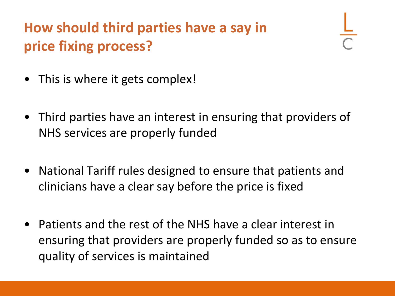### **How should third parties have a say in price fixing process?**

- This is where it gets complex!
- Third parties have an interest in ensuring that providers of NHS services are properly funded
- National Tariff rules designed to ensure that patients and clinicians have a clear say before the price is fixed
- Patients and the rest of the NHS have a clear interest in ensuring that providers are properly funded so as to ensure quality of services is maintained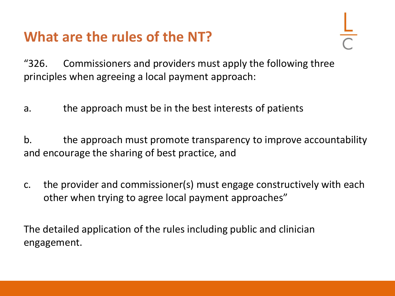#### **What are the rules of the NT?**

"326. Commissioners and providers must apply the following three principles when agreeing a local payment approach:

a. the approach must be in the best interests of patients

b. the approach must promote transparency to improve accountability and encourage the sharing of best practice, and

c. the provider and commissioner(s) must engage constructively with each other when trying to agree local payment approaches"

The detailed application of the rules including public and clinician engagement.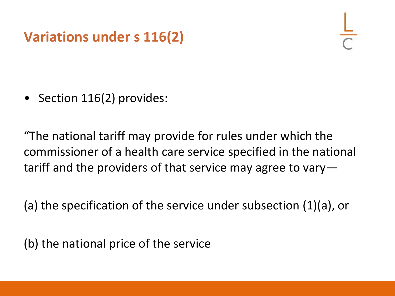#### **Variations under s 116(2)**

• Section 116(2) provides:

"The national tariff may provide for rules under which the commissioner of a health care service specified in the national tariff and the providers of that service may agree to vary—

(a) the specification of the service under subsection (1)(a), or

(b) the national price of the service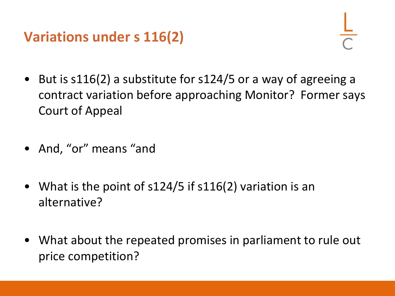#### **Variations under s 116(2)**

- But is s116(2) a substitute for s124/5 or a way of agreeing a contract variation before approaching Monitor? Former says Court of Appeal
- And, "or" means "and
- What is the point of s124/5 if s116(2) variation is an alternative?
- What about the repeated promises in parliament to rule out price competition?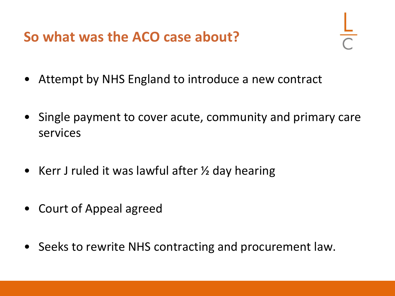**So what was the ACO case about?**

- Attempt by NHS England to introduce a new contract
- Single payment to cover acute, community and primary care services
- Kerr J ruled it was lawful after  $\frac{1}{2}$  day hearing
- Court of Appeal agreed
- Seeks to rewrite NHS contracting and procurement law.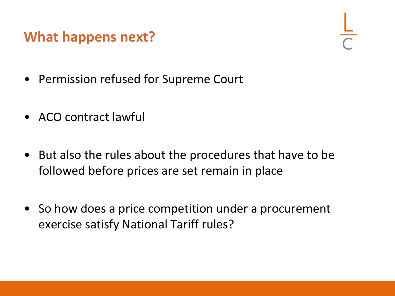#### **What happens next?**

- Permission refused for Supreme Court
- ACO contract lawful
- But also the rules about the procedures that have to be followed before prices are set remain in place
- So how does a price competition under a procurement exercise satisfy National Tariff rules?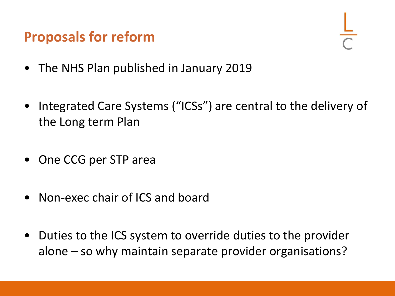#### **Proposals for reform**

- The NHS Plan published in January 2019
- Integrated Care Systems ("ICSs") are central to the delivery of the Long term Plan
- One CCG per STP area
- Non-exec chair of ICS and board
- Duties to the ICS system to override duties to the provider alone – so why maintain separate provider organisations?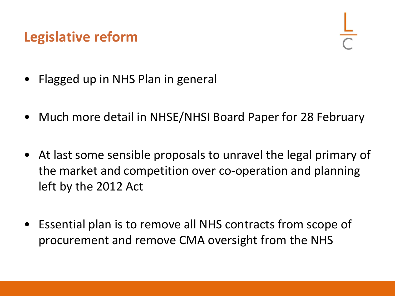#### **Legislative reform**

- Flagged up in NHS Plan in general
- Much more detail in NHSE/NHSI Board Paper for 28 February
- At last some sensible proposals to unravel the legal primary of the market and competition over co-operation and planning left by the 2012 Act
- Essential plan is to remove all NHS contracts from scope of procurement and remove CMA oversight from the NHS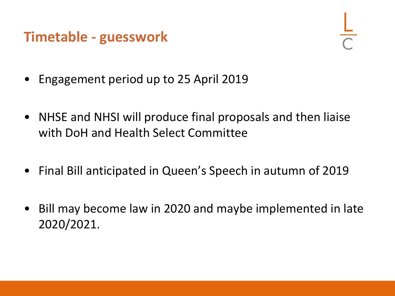#### **Timetable - guesswork**

- Engagement period up to 25 April 2019
- NHSE and NHSI will produce final proposals and then liaise with DoH and Health Select Committee
- Final Bill anticipated in Queen's Speech in autumn of 2019
- Bill may become law in 2020 and maybe implemented in late 2020/2021.